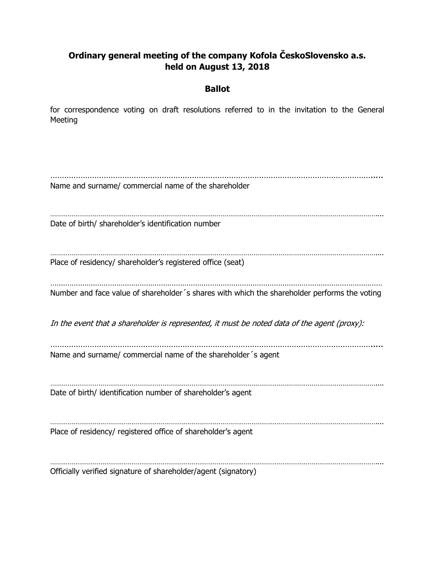# **Ordinary general meeting of the company Kofola ČeskoSlovensko a.s. held on August 13, 2018**

#### **Ballot**

for correspondence voting on draft resolutions referred to in the invitation to the General Meeting

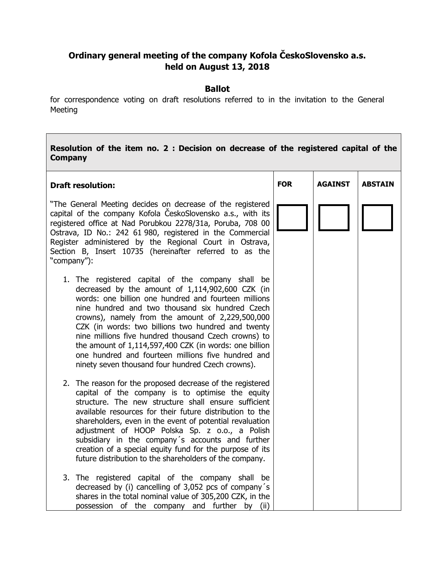### **Ordinary general meeting of the company Kofola ČeskoSlovensko a.s. held on August 13, 2018**

#### **Ballot**

for correspondence voting on draft resolutions referred to in the invitation to the General Meeting

## **Resolution of the item no. 2 : Decision on decrease of the registered capital of the Company Draft resolution:**  "The General Meeting decides on decrease of the registered capital of the company Kofola ČeskoSlovensko a.s., with its registered office at Nad Porubkou 2278/31a, Poruba, 708 00 Ostrava, ID No.: 242 61 980, registered in the Commercial Register administered by the Regional Court in Ostrava, Section B, Insert 10735 (hereinafter referred to as the "company"): 1. The registered capital of the company shall be decreased by the amount of 1,114,902,600 CZK (in words: one billion one hundred and fourteen millions nine hundred and two thousand six hundred Czech crowns), namely from the amount of 2,229,500,000 CZK (in words: two billions two hundred and twenty nine millions five hundred thousand Czech crowns) to the amount of 1,114,597,400 CZK (in words: one billion one hundred and fourteen millions five hundred and ninety seven thousand four hundred Czech crowns). 2. The reason for the proposed decrease of the registered capital of the company is to optimise the equity structure. The new structure shall ensure sufficient available resources for their future distribution to the shareholders, even in the event of potential revaluation adjustment of HOOP Polska Sp. z o.o., a Polish subsidiary in the company´s accounts and further creation of a special equity fund for the purpose of its future distribution to the shareholders of the company. 3. The registered capital of the company shall be decreased by (i) cancelling of 3,052 pcs of company´s shares in the total nominal value of 305,200 CZK, in the **FOR AGAINST ABSTAIN**

possession of the company and further by (ii)